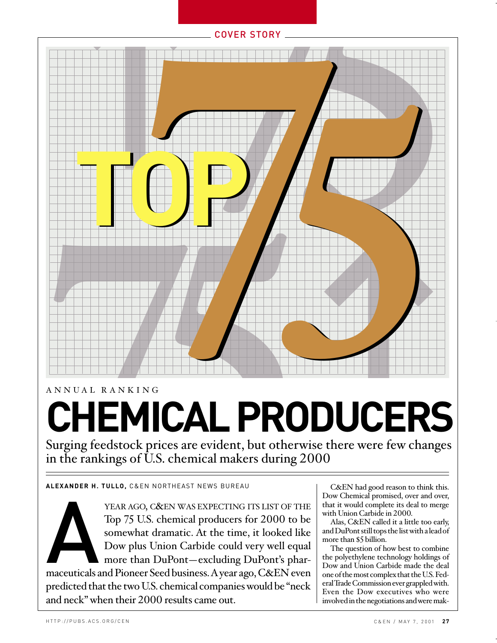← COVER STORY **7** MONGER<br>
Trivise there were few characters **7575**<br> **7575 CHEMICAL PRODUCER**<br> **CHEMICAL PRODUCER**<br>
Surging feedstock prices are evident, but otherwise there were few change<br>
in the rankings of U.S. chemical makers during 2000<br> **A** Tap 75 US, chemical produces for

### ANNUAL RANKING

# **CHEMICAL PRODUCERS**

Surging feedstock prices are evident, but otherwise there were few changes in the rankings of U.S. chemical makers during 2000

**ALEXANDER H. TULLO,** C&EN NORTHEAST NEWS BUREAU

YEAR AGO, C&EN WAS EXPECTING ITS LIST OF THE<br>
Top 75 U.S. chemical producers for 2000 to be<br>
somewhat dramatic. At the time, it looked like<br>
Dow plus Union Carbide could very well equal<br>
more than DuPont—excluding DuPont's Top 75 U.S. chemical producers for 2000 to be somewhat dramatic. At the time, it looked like Dow plus Union Carbide could very well equal more than DuPont—excluding DuPont's pharpredicted that the two U.S. chemical companies would be "neck and neck" when their 2000 results came out.

C&EN had good reason to think this. Dow Chemical promised, over and over, that it would complete its deal to merge with Union Carbide in 2000.

Alas, C&EN called it a little too early, and DuPont still tops the list with a lead of more than \$5 billion.

The question of how best to combine the polyethylene technology holdings of Dow and Union Carbide made the deal one of the most complex that the U.S. Federal Trade Commission ever grappled with. Even the Dow executives who were involved in the negotiations and were mak-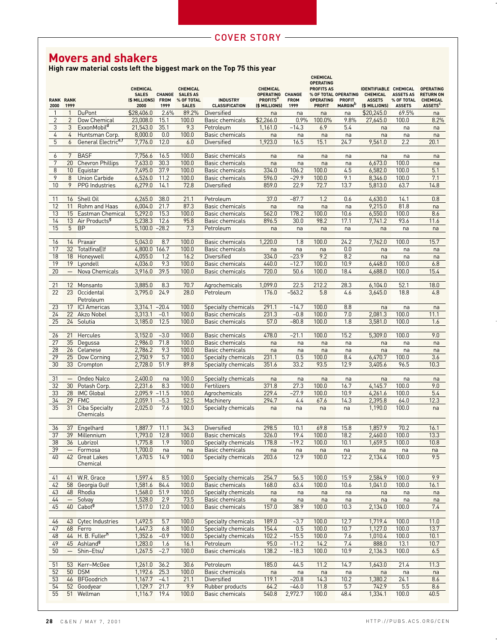# **Movers and shakers**

**High raw material costs left the biggest mark on the Top 75 this year**

| 2000            | <b>RANK RANK</b><br>1999 |                                     | <b>CHEMICAL</b><br><b>SALES</b><br>(\$ MILLIONS) FROM<br>2000 | 1999         | <b>CHEMICAL</b><br>CHANGE SALES AS<br>% OF TOTAL<br><b>SALES</b> | <b>INDUSTRY</b><br>CLASSIFICATION                 | <b>CHEMICAL</b><br>OPERATING CHANGE<br><b>PROFITS</b> <sup>ª</sup><br>(\$ MILLIONS) | <b>FROM</b><br>1999 | <b>CHEMICAL</b><br><b>OPERATING</b><br><b>PROFITS AS</b><br>% OF TOTAL OPERATING<br><b>OPERATING</b><br><b>PROFIT</b> | <b>PROFIT</b><br><b>MARGIN</b> <sup>D</sup> | <b>IDENTIFIABLE CHEMICAL</b><br><b>CHEMICAL</b><br><b>ASSETS</b><br>(\$ MILLIONS) | <b>ASSETS AS</b><br>% OF TOTAL<br><b>ASSETS</b> | <b>OPERATING</b><br><b>RETURN ON</b><br><b>CHEMICAL</b><br>ASSETS <sup>C</sup> |
|-----------------|--------------------------|-------------------------------------|---------------------------------------------------------------|--------------|------------------------------------------------------------------|---------------------------------------------------|-------------------------------------------------------------------------------------|---------------------|-----------------------------------------------------------------------------------------------------------------------|---------------------------------------------|-----------------------------------------------------------------------------------|-------------------------------------------------|--------------------------------------------------------------------------------|
| $\mathbf{1}$    | 1                        | <b>DuPont</b>                       | \$28,406.0                                                    | 2.6%         | 89.2%                                                            | <b>Diversified</b>                                | na                                                                                  | na                  | na                                                                                                                    | na                                          | \$20,245.0                                                                        | 69.5%                                           | na                                                                             |
| $\overline{2}$  | $\overline{2}$           | Dow Chemical                        | 23,008.0                                                      | 15.1         | 100.0                                                            | Basic chemicals                                   | \$2,266.0                                                                           | 0.9%                | 100.0%                                                                                                                | 9.8%                                        | 27,645.0                                                                          | 100.0                                           | 8.2%                                                                           |
| $\sqrt{3}$      | $\mathfrak{B}$           | ExxonMobil <sup>a</sup>             | 21,543.0                                                      | 35.1         | 9.3                                                              | Petroleum                                         | 1,161.0                                                                             | $-14.3$             | 6.9                                                                                                                   | 5.4                                         | na                                                                                | na                                              | na                                                                             |
| $\overline{4}$  | $\overline{4}$           | Huntsman Corp.                      | 8,000.0                                                       | 0.0          | 100.0                                                            | Basic chemicals                                   | na                                                                                  | na                  | na                                                                                                                    | na                                          | na                                                                                | na                                              | na                                                                             |
| 5               | 6                        | General Electrice,f                 | 7,776.0                                                       | 12.0         | 6.0                                                              | Diversified                                       | 1,923.0                                                                             | 16.5                | 15.1                                                                                                                  | 24.7                                        | 9,561.0                                                                           | 2.2                                             | 20.1                                                                           |
|                 |                          |                                     |                                                               |              |                                                                  |                                                   |                                                                                     |                     |                                                                                                                       |                                             |                                                                                   |                                                 |                                                                                |
| 6               | 7                        | <b>BASF</b>                         | 7,756.6                                                       | 16.5         | 100.0                                                            | Basic chemicals                                   | na                                                                                  | na                  | na                                                                                                                    | na                                          | na                                                                                | na                                              | na                                                                             |
| 7<br>$8\,$      | 20<br>10                 | <b>Chevron Phillips</b><br>Equistar | 7,633.0<br>7,495.0                                            | 30.3<br>37.9 | 100.0<br>100.0                                                   | <b>Basic chemicals</b><br><b>Basic chemicals</b>  | na<br>334.0                                                                         | na<br>106.2         | na<br>100.0                                                                                                           | na<br>4.5                                   | 6,673.0<br>6,582.0                                                                | 100.0<br>100.0                                  | na<br>5.1                                                                      |
| 9               | 8                        | Union Carbide                       | 6,526.0                                                       | 11.2         | 100.0                                                            | Basic chemicals                                   | 596.0                                                                               | $-29.9$             | 100.0                                                                                                                 | 9.1                                         | 8,346.0                                                                           | 100.0                                           | 7.1                                                                            |
| 10              | 9                        | <b>PPG</b> Industries               | 6,279.0                                                       | 14.1         | 72.8                                                             | Diversified                                       | 859.0                                                                               | 22.9                | 72.7                                                                                                                  | 13.7                                        | 5,813.0                                                                           | 63.7                                            | 14.8                                                                           |
|                 |                          |                                     |                                                               |              |                                                                  |                                                   |                                                                                     |                     |                                                                                                                       |                                             |                                                                                   |                                                 |                                                                                |
| 11              | 16                       | Shell Oil                           | 6,265.0                                                       | 38.0         | 21.1                                                             | Petroleum                                         | 37.0                                                                                | $-87.7$             | 1.2                                                                                                                   | 0.6                                         | 4,630.0                                                                           | 14.1                                            | 0.8                                                                            |
| 12              | 11                       | Rohm and Haas                       | 6,004.0                                                       | 21.7         | 87.3                                                             | Basic chemicals                                   | na                                                                                  | na                  | na                                                                                                                    | na                                          | 9,215.0                                                                           | 81.8                                            | na                                                                             |
| 13              | 15                       | Eastman Chemical                    | 5,292.0                                                       | 15.3         | 100.0                                                            | Basic chemicals                                   | 562.0                                                                               | 178.2               | 100.0                                                                                                                 | 10.6                                        | 6,550.0                                                                           | 100.0                                           | 8.6                                                                            |
| 14              | 13                       | Air Products <sup>9</sup>           | 5,238.3                                                       | 12.6         | 95.8                                                             | Basic chemicals                                   | 896.5                                                                               | 30.0                | 98.2                                                                                                                  | 17.1                                        | 7,741.2                                                                           | 93.6                                            | 11.6                                                                           |
| 15              | 5                        | <b>BP</b>                           | 5,100.0                                                       | $-28.2$      | 7.3                                                              | Petroleum                                         | na                                                                                  | na                  | na                                                                                                                    | na                                          | na                                                                                | na                                              | na                                                                             |
| 16              | 14                       | Praxair                             | 5,043.0                                                       | 8.7          | 100.0                                                            | Basic chemicals                                   | 1,220.0                                                                             | 1.8                 | 100.0                                                                                                                 | 24.2                                        | 7,762.0                                                                           | 100.0                                           | 15.7                                                                           |
| 17              | 32                       | TotalfinaElf                        | 4,800.0 166.7                                                 |              | 100.0                                                            | <b>Basic chemicals</b>                            | na                                                                                  | na                  | na                                                                                                                    | 0.0                                         | na                                                                                | na                                              | na                                                                             |
| 18              | 18                       | Honeywell                           | 4,055.0                                                       | 1.2          | 16.2                                                             | Diversified                                       | 334.0                                                                               | $-23.9$             | 9.2                                                                                                                   | 8.2                                         | na                                                                                | na                                              | na                                                                             |
| 19              | 19                       | Lyondell                            | 4,036.0                                                       | 9.3          | 100.0                                                            | <b>Basic chemicals</b>                            | 440.0                                                                               | $-12.7$             | 100.0                                                                                                                 | 10.9                                        | 6,448.0                                                                           | 100.0                                           | 6.8                                                                            |
| $\overline{20}$ | $\equiv$                 | Nova Chemicals                      | 3,916.0                                                       | 39.5         | 100.0                                                            | <b>Basic chemicals</b>                            | 720.0                                                                               | 50.6                | 100.0                                                                                                                 | 18.4                                        | 4,688.0                                                                           | 100.0                                           | 15.4                                                                           |
|                 |                          |                                     |                                                               |              |                                                                  |                                                   |                                                                                     |                     |                                                                                                                       |                                             |                                                                                   |                                                 |                                                                                |
| 21              | 12                       | Monsanto                            | 3,885.0                                                       | 8.3          | 70.7                                                             | Agrochemicals                                     | 1,099.0                                                                             | 22.5                | 212.2                                                                                                                 | 28.3                                        | 6,104.0                                                                           | 52.1                                            | 18.0                                                                           |
| 22              |                          | 23 Occidental<br>Petroleum          | 3,795.0                                                       | 24.9         | 28.0                                                             | Petroleum                                         | 176.0                                                                               | $-563.2$            | 5.8                                                                                                                   | 4.6                                         | 3,645.0                                                                           | 18.8                                            | 4.8                                                                            |
| 23              | 17                       | <b>ICI</b> Americas                 | $3,314.1 - 20.4$                                              |              | 100.0                                                            | Specialty chemicals                               | 291.1                                                                               | $-14.7$             | 100.0                                                                                                                 | 8.8                                         | na                                                                                | na                                              | na                                                                             |
| 24              | 22                       | Akzo Nobel                          | 3,313.1                                                       | $-0.1$       | 100.0                                                            | Basic chemicals                                   | 231.3                                                                               | $-0.8$              | 100.0                                                                                                                 | 7.0                                         | 2,081.3                                                                           | 100.0                                           | 11.1                                                                           |
| $\overline{25}$ | 24                       | Solutia                             | 3,185.0                                                       | 12.5         | 100.0                                                            | Basic chemicals                                   | 57.0                                                                                | $-80.8$             | 100.0                                                                                                                 | 1.8                                         | 3,581.0                                                                           | 100.0                                           | 1.6                                                                            |
|                 |                          |                                     |                                                               |              |                                                                  |                                                   |                                                                                     |                     |                                                                                                                       |                                             |                                                                                   |                                                 |                                                                                |
| 26              | 21                       | Hercules                            | 3,152.0                                                       | $-3.0$       | 100.0                                                            | Basic chemicals                                   | 478.0                                                                               | $-21.1$             | 100.0                                                                                                                 | 15.2                                        | 5,309.0                                                                           | 100.0                                           | 9.0                                                                            |
| 27              | 35                       | Degussa                             | 2,986.0                                                       | 71.8         | 100.0                                                            | Basic chemicals                                   | na                                                                                  | na                  | na                                                                                                                    | na                                          | na                                                                                | na                                              | na                                                                             |
| $\overline{28}$ | 26                       | Celanese                            | 2,786.2                                                       | 9.3          | 100.0                                                            | Basic chemicals                                   | na                                                                                  | na                  | na                                                                                                                    | na                                          | na                                                                                | na                                              | na                                                                             |
| 29<br>30        | $\overline{25}$<br>33    | Dow Corning<br>Crompton             | 2,750.9<br>2,728.0                                            | 5.7<br>51.9  | 100.0<br>89.8                                                    | <b>Specialty chemicals</b><br>Specialty chemicals | 231.1<br>351.6                                                                      | 0.5<br>33.2         | 100.0<br>93.5                                                                                                         | 8.4<br>12.9                                 | 6,470.7<br>3,405.6                                                                | 100.0<br>96.5                                   | 3.6<br>10.3                                                                    |
|                 |                          |                                     |                                                               |              |                                                                  |                                                   |                                                                                     |                     |                                                                                                                       |                                             |                                                                                   |                                                 |                                                                                |
| 31              | $\overline{\phantom{m}}$ | Ondeo Nalco                         | 2,400.0                                                       | na           | 100.0                                                            | Specialty chemicals                               | na                                                                                  | na                  | na                                                                                                                    | na                                          | na                                                                                | na                                              | na                                                                             |
| 32              | 30                       | Potash Corp.                        | 2,231.6                                                       | 8.3          | 100.0                                                            | Fertilizers                                       | 371.8                                                                               | 27.3                | 100.0                                                                                                                 | 16.7                                        | 4,145.7                                                                           | 100.0                                           | 9.0                                                                            |
| 33              | 28                       | <b>IMC Global</b>                   | $2,095.9 - 11.5$                                              |              | 100.0                                                            | Agrochemicals                                     | 229.4                                                                               | $-27.9$             | 100.0                                                                                                                 | 10.9                                        | 4,261.6                                                                           | 100.0                                           | 5.4                                                                            |
| 34              | 29                       | <b>FMC</b>                          | 2,059.1                                                       | $-5.3$       | 52.5                                                             | Machinery                                         | 294.7                                                                               | 4.4                 | 67.6                                                                                                                  | 14.3                                        | 2,395.8                                                                           | 64.0                                            | 12.3                                                                           |
| 35              | 31                       | <b>Ciba Specialty</b><br>Chemicals  | 2,025.0                                                       | 7.6          | 100.0                                                            | <b>Specialty chemicals</b>                        | na                                                                                  | na                  | na                                                                                                                    | na                                          | 1,190.0                                                                           | 100.0                                           | na                                                                             |
| 36              | 37                       | Engelhard                           | 1,887.7                                                       | 11.1         | 34.3                                                             | Diversified                                       | 298.5                                                                               | 10.1                | 69.8                                                                                                                  | 15.8                                        | 1,857.9                                                                           | 70.2                                            | 16.1                                                                           |
| $\overline{37}$ | 39                       | Millennium                          | 1,793.0                                                       | 12.8         | 100.0                                                            | <b>Basic chemicals</b>                            | 326.0                                                                               | 19.4                | 100.0                                                                                                                 | 18.2                                        | 2,460.0                                                                           | 100.0                                           | 13.3                                                                           |
| 38              |                          | 36 Lubrizol                         | 1,775.8                                                       | 1.9          | 100.0                                                            | Specialty chemicals                               | 178.8                                                                               | $-19.2$             | 100.0                                                                                                                 | 10.1                                        | 1,659.5                                                                           | 100.0                                           | 10.8                                                                           |
| 39              | $\qquad \qquad -$        | Formosa                             | 1,700.0                                                       | na           | na                                                               | Basic chemicals                                   | na                                                                                  | na                  | na                                                                                                                    | na                                          | na                                                                                | na                                              | na                                                                             |
| 40              |                          | 42 Great Lakes<br>Chemical          | 1,670.5                                                       | 14.9         | 100.0                                                            | Specialty chemicals                               | 203.6                                                                               | 12.9                | 100.0                                                                                                                 | 12.2                                        | 2,134.4                                                                           | 100.0                                           | 9.5                                                                            |
| 41              | 41                       | W.R. Grace                          | 1,597.4                                                       | 8.5          | 100.0                                                            | Specialty chemicals                               | 254.7                                                                               | 56.5                | 100.0                                                                                                                 | 15.9                                        | 2,584.9                                                                           | 100.0                                           | 9.9                                                                            |
| 42              | 58                       | Georgia Gulf                        | 1,581.6                                                       | 84.4         | 100.0                                                            | <b>Basic chemicals</b>                            | 168.0                                                                               | 63.4                | 100.0                                                                                                                 | 10.6                                        | 1,041.0                                                                           | 100.0                                           | 16.1                                                                           |
| 43              | 48                       | Rhodia                              | 1,568.0                                                       | 51.9         | 100.0                                                            | Specialty chemicals                               | na                                                                                  | na                  | na                                                                                                                    | na                                          | na                                                                                | na                                              | na                                                                             |
| 44              | $\qquad \qquad -$        | Solvay                              | 1,528.0                                                       | 2.9          | 73.5                                                             | Basic chemicals                                   | na                                                                                  | na                  | na                                                                                                                    | na                                          | na                                                                                | na                                              | na                                                                             |
| 45              | 40                       | Cabot <sup>g</sup>                  | 1,517.0                                                       | 12.0         | 100.0                                                            | Basic chemicals                                   | 157.0                                                                               | 38.9                | 100.0                                                                                                                 | 10.3                                        | 2,134.0                                                                           | 100.0                                           | 7.4                                                                            |
| 46              | 43                       | Cytec Industries                    | 1,492.5                                                       | 5.7          | 100.0                                                            | Specialty chemicals                               | 189.0                                                                               | $-3.7$              | 100.0                                                                                                                 | 12.7                                        | 1,719.4                                                                           | 100.0                                           | 11.0                                                                           |
| 47              | 68                       | Ferro                               | 1,447.3                                                       | 6.8          | 100.0                                                            | Specialty chemicals                               | 154.4                                                                               | 0.5                 | 100.0                                                                                                                 | 10.7                                        | 1,127.0                                                                           | 100.0                                           | 13.7                                                                           |
| 48              | 44                       | H. B. Fuller <sup>h</sup>           | 1,352.6                                                       | $-0.9$       | 100.0                                                            | Specialty chemicals                               | 102.2                                                                               | $-15.5$             | 100.0                                                                                                                 | 7.6                                         | 1,010.4                                                                           | 100.0                                           | 10.1                                                                           |
| 49              |                          | 45 Ashland <sup>9</sup>             | 1,283.0                                                       | 1.6          | 16.1                                                             | Petroleum                                         | 95.0                                                                                | $-11.2$             | 14.2                                                                                                                  | 7.4                                         | 888.0                                                                             | 13.1                                            | 10.7                                                                           |
| 50              | $\qquad \qquad -$        | Shin-Etsu <sup>i</sup>              | 1,267.5                                                       | $-2.7$       | 100.0                                                            | Basic chemicals                                   | 138.2                                                                               | $-18.3$             | 100.0                                                                                                                 | 10.9                                        | 2,136.3                                                                           | 100.0                                           | $6.5\,$                                                                        |
| 51              | 53                       | Kerr-McGee                          | 1,261.0                                                       | 36.2         | 30.6                                                             | Petroleum                                         | 185.0                                                                               | 44.5                | 11.2                                                                                                                  | 14.7                                        | 1,643.0                                                                           | 21.4                                            | 11.3                                                                           |
| 52              | 50                       | <b>DSM</b>                          | 1,192.6                                                       | 25.3         | 100.0                                                            | Basic chemicals                                   | na                                                                                  | na                  | na                                                                                                                    | na                                          | na                                                                                | na                                              | na                                                                             |
| 53              | 46                       | <b>BFGoodrich</b>                   | 1,167.7                                                       | $-4.1$       | 21.1                                                             | <b>Diversified</b>                                | 119.1                                                                               | $-20.8$             | 14.3                                                                                                                  | 10.2                                        | 1,380.2                                                                           | 24.1                                            | 8.6                                                                            |
| 54              | 52                       | Goodyear                            | 1,129.7                                                       | 21.7         | 9.9                                                              | Rubber products                                   | 64.2                                                                                | $-46.0$             | 11.8                                                                                                                  | 5.7                                         | 742.9                                                                             | 5.5                                             | 8.6                                                                            |
| 55              | 51                       | Wellman                             | 1,116.7                                                       | 19.4         | 100.0                                                            | <b>Basic chemicals</b>                            | 540.8                                                                               | 2,972.7             | 100.0                                                                                                                 | 48.4                                        | 1,334.1                                                                           | 100.0                                           | 40.5                                                                           |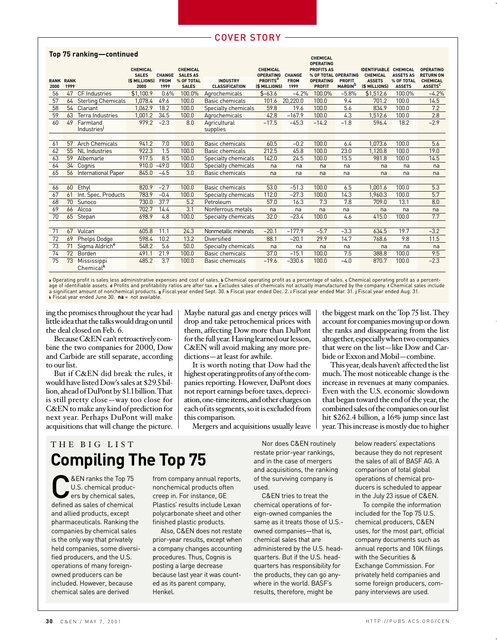#### **Top 75 ranking—continued**

|                     |                     |                            |                              |                     |                            |                                          |                                              |                     | <b>CHEMICAL</b><br><b>OPERATING</b> |                                             |                                |                             |                                              |
|---------------------|---------------------|----------------------------|------------------------------|---------------------|----------------------------|------------------------------------------|----------------------------------------------|---------------------|-------------------------------------|---------------------------------------------|--------------------------------|-----------------------------|----------------------------------------------|
|                     |                     |                            | <b>CHEMICAL</b>              |                     | <b>CHEMICAL</b>            |                                          | <b>CHEMICAL</b>                              |                     | <b>PROFITS AS</b>                   |                                             | <b>IDENTIFIABLE CHEMICAL</b>   |                             | <b>OPERATING</b>                             |
|                     |                     |                            | <b>SALES</b>                 | <b>CHANGE</b>       | <b>SALES AS</b>            |                                          | <b>OPERATING</b>                             | <b>CHANGE</b>       | % OF TOTAL OPERATING                |                                             | <b>CHEMICAL</b>                | <b>ASSETS AS</b>            | <b>RETURN ON</b>                             |
| <b>RANK</b><br>2000 | <b>RANK</b><br>1999 |                            | <b>(\$ MILLIONS)</b><br>2000 | <b>FROM</b><br>1999 | % OF TOTAL<br><b>SALES</b> | <b>INDUSTRY</b><br><b>CLASSIFICATION</b> | <b>PROFITS</b> <sup>a</sup><br>(\$ MILLIONS) | <b>FROM</b><br>1999 | <b>OPERATING</b><br><b>PROFIT</b>   | <b>PROFIT</b><br><b>MARGIN</b> <sup>D</sup> | <b>ASSETS</b><br>(\$ MILLIONS) | % OF TOTAL<br><b>ASSETS</b> | <b>CHEMICAL</b><br><b>ASSETS<sup>C</sup></b> |
| 56                  | 47                  | <b>CF</b> Industries       | \$1,100.9                    | 0.6%                | 100.0%                     | Agrochemicals                            | $$ -63.6$                                    | $-4.2%$             | 100.0%                              | $-5.8%$                                     | \$1.512.6                      | 100.0%                      | $-4.2%$                                      |
| 57                  | 64                  | <b>Sterling Chemicals</b>  | 1.078.4                      | 49.6                | 100.0                      | Basic chemicals                          | 101.6                                        | 20,220.0            | 100.0                               | 9.4                                         | 701.2                          | 100.0                       | 14.5                                         |
| 58                  | 54                  | Clariant                   | 1,062.9                      | 18.2                | 100.0                      | Specialty chemicals                      | 59.8                                         | 19.6                | 100.0                               | 5.6                                         | 834.9                          | 100.0                       | 7.2                                          |
| 59                  | 63                  | Terra Industries           | 1,001.2                      | 34.5                | 100.0                      | Agrochemicals                            | 42.8                                         | $-167.9$            | 100.0                               | 4.3                                         | 1,512.6                        | 100.0                       | 2.8                                          |
| 60                  | 49                  | Farmland                   | 979.2                        | $-2.3$              | 8.0                        | Agricultural                             | $-17.5$                                      | $-45.3$             | $-14.2$                             | $-1.8$                                      | 596.4                          | 18.2                        | $-2.9$                                       |
|                     |                     | Industries                 |                              |                     |                            | supplies                                 |                                              |                     |                                     |                                             |                                |                             |                                              |
|                     |                     |                            |                              |                     |                            |                                          |                                              |                     |                                     |                                             |                                |                             |                                              |
| 61                  | 57                  | <b>Arch Chemicals</b>      | 941.2                        | 7.0                 | 100.0                      | Basic chemicals                          | 60.5                                         | $-0.2$              | 100.0                               | 6.4                                         | 1.073.6                        | 100.0                       | 5.6                                          |
| 62                  | 55                  | <b>NL</b> Industries       | 922.3                        | 1.5                 | 100.0                      | Basic chemicals                          | 212.5                                        | 45.8                | 100.0                               | 23.0                                        | 1,120.8                        | 100.0                       | 19.0                                         |
| 63                  | 59                  | Albemarle                  | 917.5                        | 8.5                 | 100.0                      | Specialty chemicals                      | 142.0                                        | 24.5                | 100.0                               | 15.5                                        | 981.8                          | 100.0                       | 14.5                                         |
| 64                  | 34                  | Cognis                     | 910.0                        | $-49.0$             | 100.0                      | Specialty chemicals                      | na                                           | na                  | na                                  | na                                          | na                             | na                          | na                                           |
| 65                  | 56                  | International Paper        | 845.0                        | $-4.5$              | 3.0                        | Basic chemicals                          | na                                           | na                  | na                                  | na                                          | na                             | na                          | na                                           |
|                     |                     |                            |                              |                     |                            |                                          |                                              |                     |                                     |                                             |                                |                             |                                              |
| 66                  | 60                  | Ethyl                      | 820.9                        | $-2.7$              | 100.0                      | <b>Basic chemicals</b>                   | 53.0                                         | $-51.3$             | 100.0                               | 6.5                                         | 1.001.6                        | 100.0                       | 5.3                                          |
| 67                  | 61                  | Int. Spec. Products        | 783.9                        | $-0.4$              | 100.0                      | Specialty chemicals                      | 112.0                                        | $-27.3$             | 100.0                               | 14.3                                        | 1.960.3                        | 100.0                       | 5.7                                          |
| 68                  | 70                  | Sunoco                     | 730.0                        | 37.7                | 5.2                        | Petroleum                                | 57.0                                         | 16.3                | 7.3                                 | 7.8                                         | 709.0                          | 13.1                        | 8.0                                          |
| 69                  | 66                  | Alcoa                      | 702.7                        | 14.4                | 3.1                        | Nonferrous metals                        | na                                           | na                  | na                                  | na                                          | na                             | na                          | na                                           |
| 70                  | 65                  | Stepan                     | 698.9                        | 4.8                 | 100.0                      | Specialty chemicals                      | 32.0                                         | $-23.4$             | 100.0                               | 4.6                                         | 415.0                          | 100.0                       | 7.7                                          |
|                     |                     |                            |                              |                     |                            |                                          |                                              |                     |                                     |                                             |                                |                             |                                              |
| 71                  | 67                  | Vulcan                     | 605.8                        | 11.1                | 24.3                       | Nonmetallic minerals                     | $-20.1$                                      | $-177.9$            | $-5.7$                              | $-3.3$                                      | 634.5                          | 19.7                        | $-3.2$                                       |
| 72                  | 69                  | Phelps Dodge               | 598.4                        | 10.2                | 13.2                       | <b>Diversified</b>                       | 88.1                                         | $-20.1$             | 29.9                                | 14.7                                        | 768.6                          | 9.8                         | 11.5                                         |
| 73                  | 71                  | Sigma Aldrich <sup>e</sup> | 548.2                        | 5.6                 | 50.0                       | Specialty chemicals                      | na                                           | na                  | na                                  | na                                          | na                             | na                          | na                                           |
| 74                  | 72                  | Borden                     | 491.1                        | 21.9                | 100.0                      | <b>Basic chemicals</b>                   | 37.0                                         | $-15.1$             | 100.0                               | 7.5                                         | 388.8                          | 100.0                       | 9.5                                          |
| 75                  | 73                  | Mississippi                | 485.2                        | 3.7                 | 100.0                      | Basic chemicals                          | $-19.6$                                      | $-330.6$            | 100.0                               | $-4.0$                                      | 870.7                          | 100.0                       | $-2.3$                                       |
|                     |                     | Chemical <sup>k</sup>      |                              |                     |                            |                                          |                                              |                     |                                     |                                             |                                |                             |                                              |

a Operating profit is sales less administrative expenses and cost of sales. **b** Chemical operating profit as a percentage of sales. **c** Chemical operating profit as a percent-<br>age of identifiable assets. **a** Profits and pr a significant amount of nonchemical products. **g** Fiscal year ended Sept. 30. **h** Fiscal year ended Dec. 2. **i** Fiscal year ended Mar. 31. **j** Fiscal year ended Aug. 31. **k** Fiscal year ended June 30. **na** = not available.

ing the promises throughout the year had little idea that the talks would drag on until the deal closed on Feb. 6.

Because C&EN can't retroactively combine the two companies for 2000, Dow and Carbide are still separate, according to our list.

But if C&EN did break the rules, it would have listed Dow's sales at \$29.5 billion, ahead of DuPont by \$1.1 billion. That is still pretty close—way too close for C&EN to make any kind of prediction for next year. Perhaps DuPont will make acquisitions that will change the picture. Maybe natural gas and energy prices will drop and take petrochemical prices with them, affecting Dow more than DuPont for the full year. Having learned our lesson, C&EN will avoid making any more predictions—at least for awhile.

It is worth noting that Dow had the highest operating profits of any of the companies reporting. However, DuPont does not report earnings before taxes, depreciation, one-time items, and other charges on each of its segments, so it is excluded from this comparison.

Mergers and acquisitions usually leave

THE BIG LIST **Compiling The Top 75**

EN ranks the Top 75<br>U.S. chemical productions<br>of the sales of chemical<br>defined as sales of chemical U.S. chemical producdefined as sales of chemical and allied products, except pharmaceuticals. Ranking the companies by chemical sales is the only way that privately held companies, some diversified producers, and the U.S. operations of many foreignowned producers can be included. However, because chemical sales are derived

from company annual reports, nonchemical products often creep in. For instance, GE Plastics' results include Lexan polycarbonate sheet and other finished plastic products.

Also, C&EN does not restate prior-year results, except when a company changes accounting procedures. Thus, Cognis is posting a large decrease because last year it was counted as its parent company, Henkel.

Nor does C&EN routinely restate prior-year rankings, and in the case of mergers and acquisitions, the ranking of the surviving company is used.

C&EN tries to treat the chemical operations of foreign-owned companies the same as it treats those of U.S. owned companies—that is, chemical sales that are administered by the U.S. headquarters. But if the U.S. headquarters has responsibility for the products, they can go anywhere in the world. BASF's results, therefore, might be

the biggest mark on the Top 75 list. They account for companies moving up or down the ranks and disappearing from the list altogether, especially when two companies that were on the list—like Dow and Carbide or Exxon and Mobil—combine.

This year, deals haven't affected the list much. The most noticeable change is the increase in revenues at many companies. Even with the U.S. economic slowdown that began toward the end of the year, the combined sales of the companies on our list hit \$262.4 billion, a 16% jump since last year. This increase is mostly due to higher

> below readers' expectations because they do not represent the sales of all of BASF AG. A comparison of total global operations of chemical producers is scheduled to appear in the July 23 issue of C&EN.

To compile the information included for the Top 75 U.S. chemical producers, C&EN uses, for the most part, official company documents such as annual reports and 10K filings with the Securities & Exchange Commission. For privately held companies and some foreign producers, company interviews are used.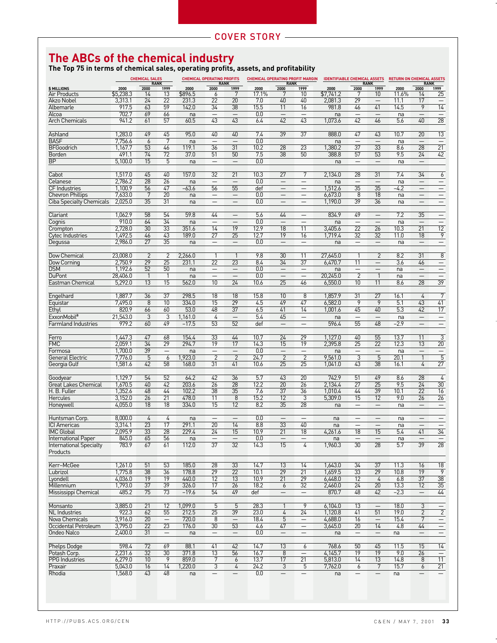## **The ABCs of the chemical industry**

**The Top 75 in terms of chemical sales, operating profits, assets, and profitability**

|                                 | <b>CHEMICAL SALES</b> |                 |                          |         | <b>CHEMICAL OPERATING PROFITS</b> |                          |       |                                | <b>CHEMICAL OPERATING PROFIT MARGIN</b> | <b>IDENTIFIABLE CHEMICAL ASSETS</b> |                          |                          | <b>RETURN ON CHEMICAL ASSETS</b><br><b>RANK</b> |                          |                          |  |
|---------------------------------|-----------------------|-----------------|--------------------------|---------|-----------------------------------|--------------------------|-------|--------------------------------|-----------------------------------------|-------------------------------------|--------------------------|--------------------------|-------------------------------------------------|--------------------------|--------------------------|--|
| <b>\$MILLIONS</b>               | 2000                  | 2000            | <b>RANK</b><br>1999      | 2000    | 2000                              | <b>RANK</b><br>1999      | 2000  | <b>RANK</b><br>2000            | 1999                                    | 2000                                | 2000                     | <b>RANK</b><br>1999      | 2000                                            | 2000                     | 1999                     |  |
| <b>Air Products</b>             | \$5,238.3             | 14              | 13                       | \$896.5 | 6                                 | 7                        | 17.1% |                                | 10                                      | \$7,741.2                           |                          | 10                       | 11.6%                                           | 14                       | 25                       |  |
| <b>Akzo Nobel</b>               | 3,313.1               | 24              | 22                       | 231.3   | 22                                | 20                       | 7.0   | 40                             | 40                                      | 2,081.3                             | 29                       | $\overline{\phantom{0}}$ | 11.1                                            | 17                       | $\overline{\phantom{0}}$ |  |
| Albemarle                       | 917.5                 | 63              | 59                       | 142.0   | $\overline{34}$                   | $\overline{38}$          | 15.5  | 11                             | 16                                      | 981.8                               | 46                       | 41                       | 14.5                                            | 9                        | 14                       |  |
| Alcoa                           | 702.7                 | 69              | 66                       | na      | $\overline{\phantom{0}}$          |                          | 0.0   |                                |                                         | na                                  | $\qquad \qquad -$        | $\qquad \qquad -$        | na                                              |                          | $\qquad \qquad -$        |  |
| <b>Arch Chemicals</b>           | 941.2                 | 61              | 57                       | 60.5    | 43                                | $\overline{43}$          | 6.4   | $\overline{42}$                | $\overline{43}$                         | 1,073.6                             | $\overline{42}$          | 46                       | 5.6                                             | 40                       | $\overline{28}$          |  |
|                                 |                       |                 |                          |         |                                   |                          |       |                                |                                         |                                     |                          |                          |                                                 |                          |                          |  |
| Ashland                         | 1,283.0               | 49              | 45                       | 95.0    | 40                                | 40                       | 7.4   | 39                             | 37                                      | 888.0                               | 47                       | 43                       | 10.7                                            | 20                       | $\overline{13}$          |  |
| <b>BASF</b>                     | 7,756.6               | 6               | 7                        | na      | $\overline{\phantom{0}}$          |                          | 0.0   |                                |                                         | na                                  | $\overline{\phantom{0}}$ | $\overline{\phantom{0}}$ | na                                              | $\overline{\phantom{0}}$ | $\qquad \qquad -$        |  |
| <b>BFGoodrich</b>               | 1,167.7               | $\overline{53}$ | 46                       | 119.1   | 36                                | 31                       | 10.2  | 28                             | 23                                      | 1,380.2                             | $\overline{37}$          | $\overline{33}$          | 8.6                                             | 28                       | $\overline{21}$          |  |
| Borden                          | 491.1                 | 74              | 72                       | 37.0    | 51                                | 50                       | 7.5   | $\overline{38}$                | 50                                      | 388.8                               | 57                       | 53                       | 9.5                                             | $\overline{24}$          | 42                       |  |
| <b>BP</b>                       | 5,100.0               | 15              | 5                        | na      |                                   |                          | 0.0   |                                |                                         | na                                  | $\qquad \qquad -$        |                          | na                                              | $\qquad \qquad -$        |                          |  |
|                                 |                       |                 |                          |         |                                   |                          |       |                                |                                         |                                     |                          |                          |                                                 |                          |                          |  |
| Cabot                           | 1,517.0               | 45              | 40                       | 157.0   | 32                                | 21                       | 10.3  | 27                             | 7                                       | 2,134.0                             | 28                       | 31                       | 7.4                                             | 34                       | $\overline{6}$           |  |
| Celanese                        | 2.786.2               | 28              | 26                       | na      | $\qquad \qquad -$                 |                          | 0.0   | $\overline{\phantom{0}}$       |                                         | na                                  | $\overline{\phantom{0}}$ | $\overline{\phantom{0}}$ | na                                              | $\overline{\phantom{0}}$ | $\qquad \qquad -$        |  |
| <b>CF</b> Industries            | 1.100.9               | 56              | 47                       | $-63.6$ | 56                                | 55                       | def   | $\overline{\phantom{m}}$       | $\qquad \qquad -$                       | 1,512.6                             | $\overline{35}$          | $\overline{35}$          | $-4.2$                                          | $\overline{\phantom{m}}$ | $\qquad \qquad -$        |  |
| <b>Chevron Phillips</b>         | 7,633.0               | $\overline{7}$  | 20                       | na      | $\overline{\phantom{0}}$          | $\overline{\phantom{0}}$ | 0.0   |                                |                                         | 6,673.0                             | 8                        | 18                       | na                                              | $\qquad \qquad -$        | $\overline{\phantom{0}}$ |  |
| <b>Ciba Specialty Chemicals</b> | 2,025.0               | 35              | 31                       | na      | $\overline{\phantom{0}}$          | $\overline{\phantom{0}}$ | 0.0   | $\overline{\phantom{0}}$       | $\frac{1}{1}$                           | 1,190.0                             | 39                       | $\overline{36}$          | na                                              |                          | $\overline{\phantom{0}}$ |  |
|                                 |                       |                 |                          |         |                                   |                          |       |                                |                                         |                                     |                          |                          |                                                 |                          |                          |  |
| Clariant                        | 1,062.9               | 58              | 54                       | 59.8    | 44                                | $\qquad \qquad -$        | 5.6   | 44                             |                                         | 834.9                               | 49                       | $\qquad \qquad -$        | 7.2                                             | 35                       | $\qquad \qquad -$        |  |
| Cognis                          | 910.0                 | 64              | $\overline{34}$          | na      | $\overline{\phantom{0}}$          | $\overline{\phantom{0}}$ | 0.0   | $\qquad \qquad -$              | $\qquad \qquad -$                       | na                                  | $\qquad \qquad -$        | $\overline{\phantom{0}}$ | na                                              | $\qquad \qquad -$        | $\qquad \qquad -$        |  |
| Crompton                        | 2,728.0               | $\overline{30}$ | $\overline{33}$          | 351.6   | 14                                | 19                       | 12.9  | 18                             | 11                                      | 3,405.6                             | $\overline{22}$          | 26                       | 10.3                                            | 21                       | $\overline{12}$          |  |
| <b>Cytec Industries</b>         | 1,492.5               | 46              | 43                       | 189.0   | 27                                | 25                       | 12.7  | 19                             | 16                                      | 1.719.4                             | $\overline{32}$          | 32                       | 11.0                                            | 18                       | $\overline{9}$           |  |
| Degussa                         | 2,986.0               | 27              | 35                       | na      | $\overline{\phantom{0}}$          | $\overline{\phantom{m}}$ | 0.0   | $\overline{\phantom{m}}$       | $\qquad \qquad -$                       | na                                  | $\qquad \qquad -$        | $\qquad \qquad -$        | na                                              | $\overline{\phantom{m}}$ | $\qquad \qquad -$        |  |
|                                 |                       |                 |                          |         |                                   |                          |       |                                |                                         |                                     |                          |                          |                                                 |                          |                          |  |
| Dow Chemical                    | 23,008.0              | $\overline{2}$  | $\overline{2}$           | 2,266.0 | $\mathbf{1}$                      | $\mathbf{1}$             | 9.8   | 30                             | 11                                      | 27,645.0                            |                          | $\overline{2}$           | 8.2                                             | 31                       | $\overline{8}$           |  |
| Dow Corning                     | 2.750.9               | $\overline{29}$ | $\overline{25}$          | 231.1   | $\overline{22}$                   | $\overline{23}$          | 8.4   | $\overline{34}$                | $\overline{37}$                         | 6,470.7                             | 11                       | $\qquad \qquad -$        | $\overline{3.6}$                                | 46                       | $=$                      |  |
| <b>DSM</b>                      | 1.192.6               | 52              | 50                       |         | $\qquad \qquad -$                 | $\qquad \qquad -$        | 0.0   |                                | $\qquad \qquad -$                       |                                     | $\qquad \qquad -$        |                          |                                                 |                          | $\overline{\phantom{m}}$ |  |
| <b>DuPont</b>                   | 28,406.0              |                 | $\overline{1}$           | na      |                                   | $\overline{\phantom{0}}$ | 0.0   |                                | $\overline{\phantom{0}}$                | na<br>20.245.0                      | $\overline{2}$           | $\overline{1}$           | na                                              |                          | Ξ                        |  |
|                                 |                       | $\mathbf{1}$    |                          | na      | 10                                | $\overline{24}$          |       | $\overline{\phantom{m}}$<br>25 |                                         |                                     |                          |                          | na                                              | 28                       | $\overline{39}$          |  |
| Eastman Chemical                | 5,292.0               | 13              | 15                       | 562.0   |                                   |                          | 10.6  |                                | 46                                      | 6,550.0                             | 10                       | 11                       | 8.6                                             |                          |                          |  |
|                                 |                       |                 | 37                       | 298.5   | 18                                | 18                       | 15.8  | 10                             |                                         | 1,857.9                             | 31                       | 27                       |                                                 |                          | $\overline{7}$           |  |
| Engelhard                       | 1,887.7               | 36              | 10                       | 334.0   | 15                                | $\overline{29}$          |       |                                | 8<br>47                                 |                                     |                          | $\overline{9}$           | 16.1<br>5.1                                     | 4<br>43                  |                          |  |
| Equistar                        | 7,495.0               | $\overline{8}$  |                          |         |                                   |                          | 4.5   | 49                             |                                         | 6,582.0                             | 9                        |                          |                                                 |                          | 41                       |  |
| Ethyl                           | 820.9                 | 66              | 60                       | 53.0    | 48                                | 37                       | 6.5   | 41                             | 14                                      | 1,001.6                             | 45                       | 40                       | 5.3                                             | 42                       | 17                       |  |
| ExxonMobil <sup>a</sup>         | 21,543.0              | 3               | 3                        | 1,161.0 | $\overline{4}$                    |                          | 5.4   | 45                             | $\overline{\phantom{m}}$                | na                                  |                          | $\qquad \qquad$          | na                                              | $\qquad \qquad -$        | $\overline{\phantom{m}}$ |  |
| <b>Farmland Industries</b>      | 979.2                 | 60              | 49                       | $-17.5$ | 53                                | $\overline{52}$          | def   | $\overline{\phantom{0}}$       | $\overline{\phantom{0}}$                | 596.4                               | 55                       | 48                       | $-2.9$                                          |                          | $=$                      |  |
|                                 |                       |                 |                          |         |                                   |                          |       |                                |                                         |                                     |                          |                          |                                                 |                          |                          |  |
| Ferro                           | 1,447.3               | 47              | 68                       | 154.4   | 33                                | 44                       | 10.7  | 24                             | 29                                      | 1,127.0                             | 40                       | 55                       | 13.7                                            | 11                       | $\overline{3}$           |  |
| <b>FMC</b>                      | 2,059.1               | $\overline{34}$ | $\overline{29}$          | 294.7   | $\overline{19}$                   | 17                       | 14.3  | 15                             | $\overline{19}$                         | 2,395.8                             | $\overline{25}$          | $\overline{22}$          | 12.3                                            | 13                       | $\overline{20}$          |  |
| Formosa                         | 1,700.0               | $\overline{39}$ | $\qquad \qquad -$        | na      | $\overline{\phantom{0}}$          |                          | 0.0   | $\overline{\phantom{0}}$       | $\qquad \qquad -$                       | na                                  |                          |                          | na                                              | $\qquad \qquad -$        | $\frac{1}{5}$            |  |
| <b>General Electric</b>         | 7,776.0               | 5               | $\overline{6}$           | 1,923.0 | $\overline{2}$                    | $\overline{2}$           | 24.7  | $\overline{2}$                 | $\overline{2}$                          | 9,561.0                             | $\overline{3}$           | $\overline{5}$           | 20.1                                            | $\mathbf{1}$             |                          |  |
| Georgia Gulf                    | 1,581.6               | $\overline{42}$ | 58                       | 168.0   | 31                                | 41                       | 10.6  | $\overline{25}$                | $\overline{25}$                         | 1.041.0                             | 43                       | 38                       | 16.1                                            | $\overline{4}$           | $\overline{27}$          |  |
|                                 |                       |                 |                          |         |                                   |                          |       |                                |                                         |                                     |                          |                          |                                                 |                          |                          |  |
| Goodyear                        | 1,129.7               | 54              | $\overline{52}$          | 64.2    | 42                                | 36                       | 5.7   | 43                             | $\overline{20}$                         | 742.9                               | 51                       | 49                       | 8.6                                             | $\overline{28}$          | $\overline{4}$           |  |
| <b>Great Lakes Chemical</b>     | 1,670.5               | 40              | 42                       | 203.6   | 26                                | 28                       | 12.2  | 20                             | 26                                      | 2,134.4                             | 27                       | 25                       | 9.5                                             | $\overline{24}$          | $\overline{30}$          |  |
| H. B. Fuller                    | 1,352.6               | 48              | 44                       | 102.2   | 38                                | 35                       | 7.6   | 37                             | 36                                      | 1.010.4                             | 44                       | $\overline{39}$          | 10.1                                            | 22                       | 16                       |  |
| <b>Hercules</b>                 | 3,152.0               | 26              | 21                       | 478.0   | 11                                | 8                        | 15.2  | 12                             | 3                                       | 5.309.0                             | 15                       | 12                       | 9.0                                             | 26                       | $\overline{26}$          |  |
| Honeywell                       | 4,055.0               | 18              | 18                       | 334.0   | 15                                | 12                       | 8.2   | 35                             | $\overline{28}$                         | na                                  | $\overline{\phantom{0}}$ |                          | na                                              | $\qquad \qquad -$        | $\overline{\phantom{m}}$ |  |
|                                 |                       |                 |                          |         |                                   |                          |       |                                |                                         |                                     |                          |                          |                                                 |                          |                          |  |
| Huntsman Corp.                  | 8,000.0               | 4               | 4                        | na      | $\overline{\phantom{0}}$          |                          | 0.0   | $\overline{\phantom{0}}$       | $\frac{1}{1}$                           | na                                  | $\overline{\phantom{0}}$ |                          | na                                              |                          | $\overline{\phantom{0}}$ |  |
| <b>ICI Americas</b>             | 3.314.1               | $\overline{23}$ | 17                       | 291.1   | $\overline{20}$                   | 14                       | 8.8   | 33                             | 40                                      | na                                  | $\qquad \qquad -$        | $\overline{\phantom{0}}$ | na                                              |                          | $\qquad \qquad -$        |  |
| <b>IMC Global</b>               | 2,095.9               | $\overline{33}$ | $\overline{28}$          | 229.4   | $\overline{24}$                   | $\overline{15}$          | 10.9  | $\overline{21}$                | $\overline{18}$                         | 4,261.6                             | $\overline{18}$          | $\overline{15}$          | 5.4                                             | 41                       | $\overline{34}$          |  |
| <b>International Paper</b>      | 845.0                 | 65              | 56                       | 1d      |                                   |                          | 0.0   |                                |                                         | Пd                                  |                          |                          | 1 Id                                            |                          |                          |  |
| <b>International Specialty</b>  | 783.9                 | 67              | 61                       | 112.0   | $\overline{37}$                   | 32                       | 14.3  | 15                             | 4                                       | 1,960.3                             | $\overline{30}$          | 28                       | 5.7                                             | 39                       | $\overline{28}$          |  |
| Products                        |                       |                 |                          |         |                                   |                          |       |                                |                                         |                                     |                          |                          |                                                 |                          |                          |  |
|                                 |                       |                 |                          |         |                                   |                          |       |                                |                                         |                                     |                          |                          |                                                 |                          |                          |  |
| Kerr-McGee                      | 1,261.0               | 51              | $\overline{53}$          | 185.0   | $\overline{28}$                   | $\overline{33}$          | 14.7  | $\overline{13}$                | 14                                      | 1,643.0                             | $\overline{34}$          | $\overline{37}$          | 11.3                                            | 16                       | $\overline{18}$          |  |
| Lubrizol                        | 1,775.8               | $\overline{38}$ | 36                       | 178.8   | $\overline{29}$                   | $\overline{22}$          | 10.1  | 29                             | $\overline{21}$                         | 1,659.5                             | 33                       | $\overline{29}$          | 10.8                                            | 19                       | $\overline{9}$           |  |
| Lyondell                        | 4,036.0               | $\overline{19}$ | $\overline{19}$          | 440.0   | 12                                | $\overline{13}$          | 10.9  | $\overline{21}$                | $\overline{29}$                         | 6,448.0                             | $\overline{12}$          | $\overline{4}$           | 6.8                                             | 37                       | $\overline{38}$          |  |
| Millennium                      | 1,793.0               | 37              | 39                       | 326.0   | 17                                | 26                       | 18.2  | 6                              | $\overline{32}$                         | 2,460.0                             | 24                       | 20                       | 13.3                                            | 12                       | $\overline{35}$          |  |
| Mississippi Chemical            | 485.2                 | 75              | 73                       | $-19.6$ | 54                                | 49                       | def   | —                              | $\qquad \qquad -$                       | 870.7                               | 48                       | 42                       | $-2.3$                                          | $\overline{\phantom{0}}$ | 44                       |  |
|                                 |                       |                 |                          |         |                                   |                          |       |                                |                                         |                                     |                          |                          |                                                 |                          |                          |  |
| Monsanto                        | 3,885.0               | 21              | 12                       | 1,099.0 | 5                                 | 5                        | 28.3  | $\mathbf{1}$                   | 9                                       | 6,104.0                             | 13                       | $\qquad \qquad -$        | 18.0                                            | 3                        |                          |  |
| <b>NL</b> Industries            | 922.3                 | 62              | 55                       | 212.5   | $\overline{25}$                   | 39                       | 23.0  | 4                              | 24                                      | 1,120.8                             | 41                       | 51                       | 19.0                                            | $\overline{2}$           | $\overline{2}$           |  |
| Nova Chemicals                  | 3,916.0               | $\overline{20}$ | $\overline{\phantom{m}}$ | 720.0   | $\overline{8}$                    |                          | 18.4  | $\overline{5}$                 | $\overline{\phantom{m}}$                | 4,688.0                             | 16                       | $\qquad \qquad -$        | 15.4                                            | 7                        | $\qquad \qquad -$        |  |
| Occidental Petroleum            | 3,795.0               | $\overline{22}$ | $\overline{23}$          | 176.0   | 30                                | $\overline{53}$          | 4.6   | 47                             | $\qquad \qquad -$                       | 3,645.0                             | 20                       | 14                       | 4.8                                             | 44                       | $=$                      |  |
| Ondeo Nalco                     | 2,400.0               | 31              | $\overline{\phantom{m}}$ | na      | $\overline{\phantom{0}}$          | $\overline{\phantom{m}}$ | 0.0   | $\overline{\phantom{0}}$       | $\qquad \qquad -$                       | na                                  | $\overline{\phantom{m}}$ | $\overline{\phantom{m}}$ | na                                              | $\overline{\phantom{m}}$ | $\qquad \qquad -$        |  |
|                                 |                       |                 |                          |         |                                   |                          |       |                                |                                         |                                     |                          |                          |                                                 |                          |                          |  |
| Phelps Dodge                    | 598.4                 | $\overline{72}$ | 69                       | 88.1    | 41                                | 42                       | 14.7  | $\overline{13}$                | 6                                       | 768.6                               | $\overline{50}$          | 45                       | 11.5                                            | 15                       | $\overline{14}$          |  |
| Potash Corp.                    | 2,231.6               | 32              | 30                       | 371.8   | 13                                | 56                       | 16.7  | 8                              | $\qquad \qquad -$                       | 4,145.7                             | 19                       | 19                       | 9.0                                             | 26                       | $\equiv$                 |  |
| PPG Industries                  | 6,279.0               | 10              | 9                        | 859.0   | 7                                 | 6                        | 13.7  | 17                             | $\overline{21}$                         | 5,813.0                             | 14                       | 13                       | 14.8                                            | 8                        | 11                       |  |
| Praxair                         | 5,043.0               | 16              | $\overline{14}$          | 1,220.0 | $\overline{3}$                    | 4                        | 24.2  | $\overline{3}$                 | 5                                       | 7,762.0                             | 6                        | $\overline{7}$           | 15.7                                            | 6                        | $\overline{21}$          |  |
| Rhodia                          | 1,568.0               | 43              | 48                       | na      | $\overline{\phantom{0}}$          | $\qquad \qquad -$        | 0.0   | $\qquad \qquad -$              | $\qquad \qquad -$                       | na                                  | $\qquad \qquad -$        | $\qquad \qquad -$        | na                                              | $\overline{\phantom{m}}$ |                          |  |
|                                 |                       |                 |                          |         |                                   |                          |       |                                |                                         |                                     |                          |                          |                                                 |                          |                          |  |
|                                 |                       |                 |                          |         |                                   |                          |       |                                |                                         |                                     |                          |                          |                                                 |                          |                          |  |